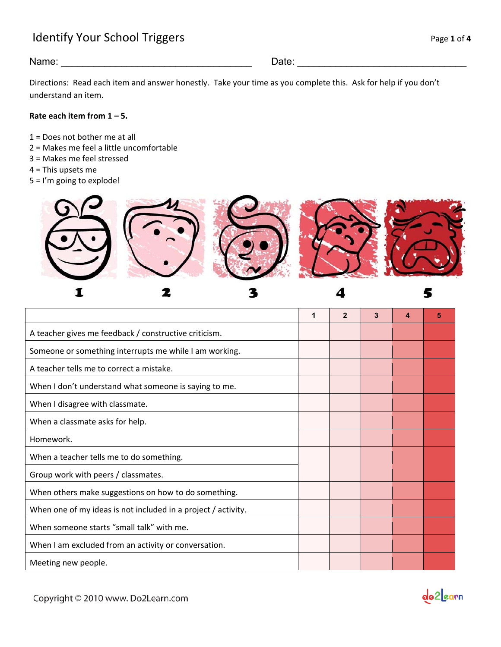## Identify Your School Triggers and the state of the state of the state of the state of the state of the state of the state of the state of the state of the state of the state of the state of the state of the state of the st

## Name: \_\_\_\_\_\_\_\_\_\_\_\_\_\_\_\_\_\_\_\_\_\_\_\_\_\_\_\_\_\_\_\_\_\_\_ Date: \_\_\_\_\_\_\_\_\_\_\_\_\_\_\_\_\_\_\_\_\_\_\_\_\_\_\_\_\_\_\_

Directions: Read each item and answer honestly. Take your time as you complete this. Ask for help if you don't understand an item.

#### **Rate each item from 1 – 5.**

- 1 = Does not bother me at all
- 2 = Makes me feel a little uncomfortable
- 3 = Makes me feel stressed
- 4 = This upsets me
- 5 = I'm going to explode!



**1 2 3 4 5**  A teacher gives me feedback / constructive criticism. Someone or something interrupts me while I am working. A teacher tells me to correct a mistake. When I don't understand what someone is saying to me. When I disagree with classmate. When a classmate asks for help. Homework. When a teacher tells me to do something. Group work with peers / classmates. When others make suggestions on how to do something. When one of my ideas is not included in a project / activity. When someone starts "small talk" with me. When I am excluded from an activity or conversation. Meeting new people.

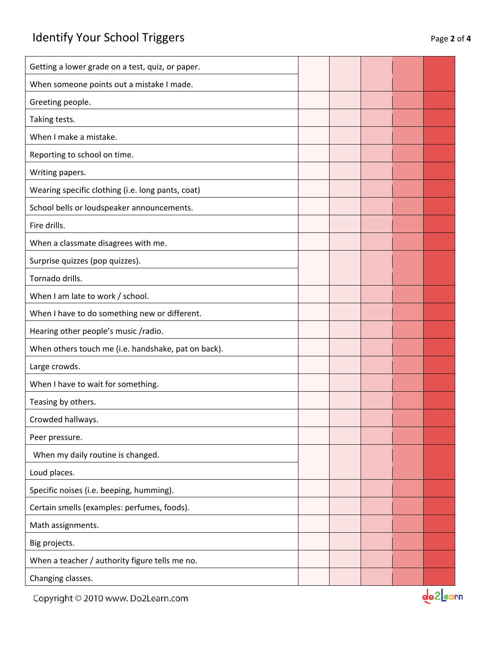| Getting a lower grade on a test, quiz, or paper.    |  |  |  |
|-----------------------------------------------------|--|--|--|
| When someone points out a mistake I made.           |  |  |  |
| Greeting people.                                    |  |  |  |
| Taking tests.                                       |  |  |  |
| When I make a mistake.                              |  |  |  |
| Reporting to school on time.                        |  |  |  |
| Writing papers.                                     |  |  |  |
| Wearing specific clothing (i.e. long pants, coat)   |  |  |  |
| School bells or loudspeaker announcements.          |  |  |  |
| Fire drills.                                        |  |  |  |
| When a classmate disagrees with me.                 |  |  |  |
| Surprise quizzes (pop quizzes).                     |  |  |  |
| Tornado drills.                                     |  |  |  |
| When I am late to work / school.                    |  |  |  |
| When I have to do something new or different.       |  |  |  |
| Hearing other people's music /radio.                |  |  |  |
| When others touch me (i.e. handshake, pat on back). |  |  |  |
| Large crowds.                                       |  |  |  |
| When I have to wait for something.                  |  |  |  |
| Teasing by others.                                  |  |  |  |
| Crowded hallways.                                   |  |  |  |
| Peer pressure.                                      |  |  |  |
| When my daily routine is changed.                   |  |  |  |
| Loud places.                                        |  |  |  |
| Specific noises (i.e. beeping, humming).            |  |  |  |
| Certain smells (examples: perfumes, foods).         |  |  |  |
| Math assignments.                                   |  |  |  |
| Big projects.                                       |  |  |  |
| When a teacher / authority figure tells me no.      |  |  |  |
| Changing classes.                                   |  |  |  |
|                                                     |  |  |  |

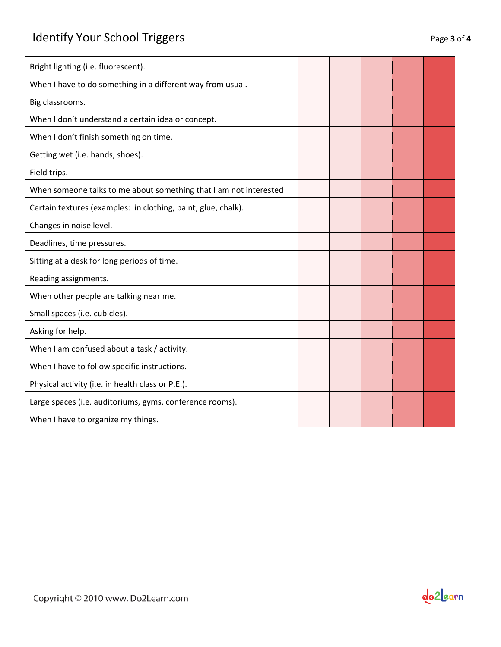| Bright lighting (i.e. fluorescent).                               |  |  |  |
|-------------------------------------------------------------------|--|--|--|
| When I have to do something in a different way from usual.        |  |  |  |
| Big classrooms.                                                   |  |  |  |
| When I don't understand a certain idea or concept.                |  |  |  |
| When I don't finish something on time.                            |  |  |  |
| Getting wet (i.e. hands, shoes).                                  |  |  |  |
| Field trips.                                                      |  |  |  |
| When someone talks to me about something that I am not interested |  |  |  |
| Certain textures (examples: in clothing, paint, glue, chalk).     |  |  |  |
| Changes in noise level.                                           |  |  |  |
| Deadlines, time pressures.                                        |  |  |  |
| Sitting at a desk for long periods of time.                       |  |  |  |
| Reading assignments.                                              |  |  |  |
| When other people are talking near me.                            |  |  |  |
| Small spaces (i.e. cubicles).                                     |  |  |  |
| Asking for help.                                                  |  |  |  |
| When I am confused about a task / activity.                       |  |  |  |
| When I have to follow specific instructions.                      |  |  |  |
| Physical activity (i.e. in health class or P.E.).                 |  |  |  |
| Large spaces (i.e. auditoriums, gyms, conference rooms).          |  |  |  |
| When I have to organize my things.                                |  |  |  |
|                                                                   |  |  |  |